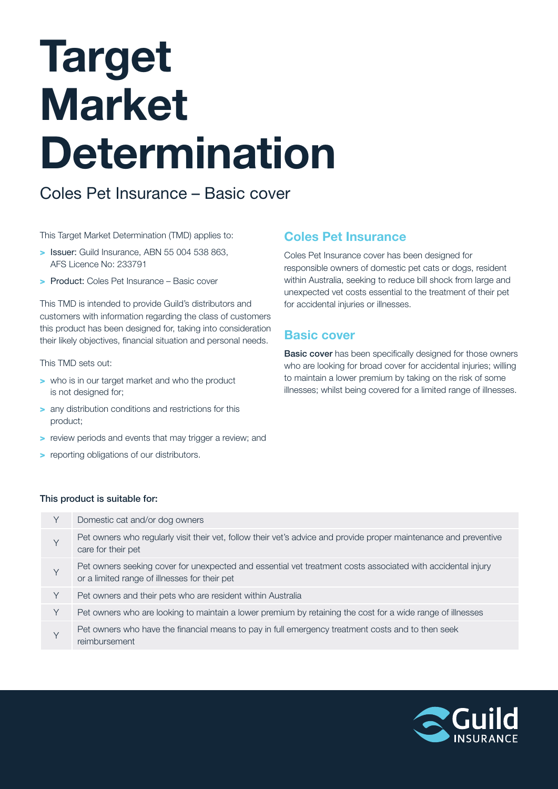# Target Market Determination

## Coles Pet Insurance – Basic cover

This Target Market Determination (TMD) applies to:

- > Issuer: Guild Insurance, ABN 55 004 538 863, AFS Licence No: 233791
- > Product: Coles Pet Insurance Basic cover

This TMD is intended to provide Guild's distributors and customers with information regarding the class of customers this product has been designed for, taking into consideration their likely objectives, financial situation and personal needs.

#### This TMD sets out:

- > who is in our target market and who the product is not designed for;
- > any distribution conditions and restrictions for this product;
- > review periods and events that may trigger a review; and
- > reporting obligations of our distributors.

## Coles Pet Insurance

Coles Pet Insurance cover has been designed for responsible owners of domestic pet cats or dogs, resident within Australia, seeking to reduce bill shock from large and unexpected vet costs essential to the treatment of their pet for accidental injuries or illnesses.

## Basic cover

**Basic cover** has been specifically designed for those owners who are looking for broad cover for accidental injuries; willing to maintain a lower premium by taking on the risk of some illnesses; whilst being covered for a limited range of illnesses.

### This product is suitable for:

| Υ | Domestic cat and/or dog owners                                                                                                                               |
|---|--------------------------------------------------------------------------------------------------------------------------------------------------------------|
| Υ | Pet owners who regularly visit their vet, follow their vet's advice and provide proper maintenance and preventive<br>care for their pet                      |
| Υ | Pet owners seeking cover for unexpected and essential vet treatment costs associated with accidental injury<br>or a limited range of illnesses for their pet |
| Υ | Pet owners and their pets who are resident within Australia                                                                                                  |
| Υ | Pet owners who are looking to maintain a lower premium by retaining the cost for a wide range of illnesses                                                   |
| V | Pet owners who have the financial means to pay in full emergency treatment costs and to then seek<br>reimbursement                                           |
|   |                                                                                                                                                              |

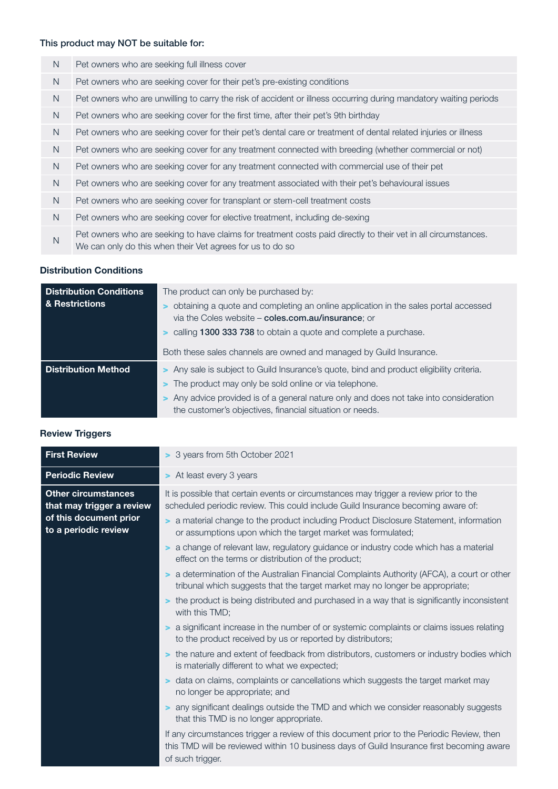## This product may NOT be suitable for:

| N.             | Pet owners who are seeking full illness cover                                                                                                                               |
|----------------|-----------------------------------------------------------------------------------------------------------------------------------------------------------------------------|
| N              | Pet owners who are seeking cover for their pet's pre-existing conditions                                                                                                    |
| N <sub>1</sub> | Pet owners who are unwilling to carry the risk of accident or illness occurring during mandatory waiting periods                                                            |
| N <sub>1</sub> | Pet owners who are seeking cover for the first time, after their pet's 9th birthday                                                                                         |
| N              | Pet owners who are seeking cover for their pet's dental care or treatment of dental related injuries or illness                                                             |
| N <sub>1</sub> | Pet owners who are seeking cover for any treatment connected with breeding (whether commercial or not)                                                                      |
| N <sub>1</sub> | Pet owners who are seeking cover for any treatment connected with commercial use of their pet                                                                               |
| N <sub>1</sub> | Pet owners who are seeking cover for any treatment associated with their pet's behavioural issues                                                                           |
| N <sub>1</sub> | Pet owners who are seeking cover for transplant or stem-cell treatment costs                                                                                                |
| N              | Pet owners who are seeking cover for elective treatment, including de-sexing                                                                                                |
| N              | Pet owners who are seeking to have claims for treatment costs paid directly to their vet in all circumstances.<br>We can only do this when their Vet agrees for us to do so |
|                |                                                                                                                                                                             |

#### Distribution Conditions

| <b>Distribution Conditions</b> | The product can only be purchased by:                                                                                                              |  |  |  |
|--------------------------------|----------------------------------------------------------------------------------------------------------------------------------------------------|--|--|--|
| & Restrictions                 | obtaining a quote and completing an online application in the sales portal accessed<br>via the Coles website - coles.com.au/insurance; or          |  |  |  |
|                                | > calling 1300 333 738 to obtain a quote and complete a purchase.                                                                                  |  |  |  |
|                                | Both these sales channels are owned and managed by Guild Insurance.                                                                                |  |  |  |
| <b>Distribution Method</b>     | > Any sale is subject to Guild Insurance's quote, bind and product eligibility criteria.                                                           |  |  |  |
|                                | > The product may only be sold online or via telephone.                                                                                            |  |  |  |
|                                | > Any advice provided is of a general nature only and does not take into consideration<br>the customer's objectives, financial situation or needs. |  |  |  |

|  |  | <b>Review Triggers</b> |
|--|--|------------------------|

| <b>First Review</b>                                     | > 3 years from 5th October 2021                                                                                                                                                                            |
|---------------------------------------------------------|------------------------------------------------------------------------------------------------------------------------------------------------------------------------------------------------------------|
| <b>Periodic Review</b>                                  | > At least every 3 years                                                                                                                                                                                   |
| <b>Other circumstances</b><br>that may trigger a review | It is possible that certain events or circumstances may trigger a review prior to the<br>scheduled periodic review. This could include Guild Insurance becoming aware of:                                  |
| of this document prior<br>to a periodic review          | > a material change to the product including Product Disclosure Statement, information<br>or assumptions upon which the target market was formulated;                                                      |
|                                                         | > a change of relevant law, regulatory guidance or industry code which has a material<br>effect on the terms or distribution of the product;                                                               |
|                                                         | > a determination of the Australian Financial Complaints Authority (AFCA), a court or other<br>tribunal which suggests that the target market may no longer be appropriate;                                |
|                                                         | > the product is being distributed and purchased in a way that is significantly inconsistent<br>with this TMD;                                                                                             |
|                                                         | a significant increase in the number of or systemic complaints or claims issues relating<br>$\geq$<br>to the product received by us or reported by distributors;                                           |
|                                                         | the nature and extent of feedback from distributors, customers or industry bodies which<br>$\geq$<br>is materially different to what we expected;                                                          |
|                                                         | data on claims, complaints or cancellations which suggests the target market may<br>no longer be appropriate; and                                                                                          |
|                                                         | any significant dealings outside the TMD and which we consider reasonably suggests<br>that this TMD is no longer appropriate.                                                                              |
|                                                         | If any circumstances trigger a review of this document prior to the Periodic Review, then<br>this TMD will be reviewed within 10 business days of Guild Insurance first becoming aware<br>of such trigger. |